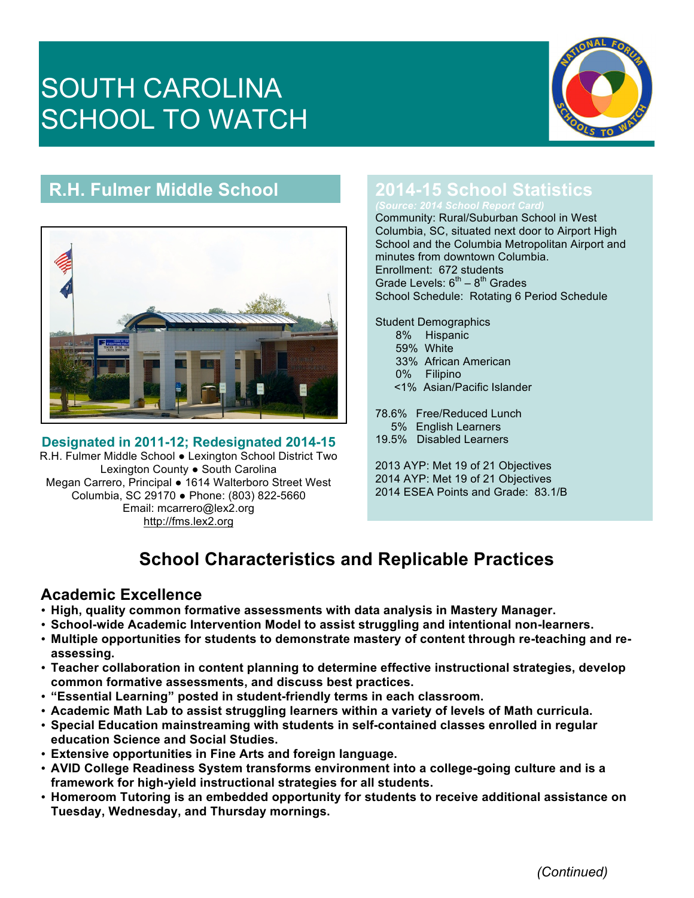# SOUTH CAROLINA SCHOOL TO WATCH



## **R.H. Fulmer Middle School**



### **Designated in 2011-12; Redesignated 2014-15**

R.H. Fulmer Middle School ● Lexington School District Two Lexington County ● South Carolina Megan Carrero, Principal ● 1614 Walterboro Street West Columbia, SC 29170 ● Phone: (803) 822-5660 Email: mcarrero@lex2.org http://fms.lex2.org

## **2014-15 School Statistics**

Community: Rural/Suburban School in West Columbia, SC, situated next door to Airport High School and the Columbia Metropolitan Airport and minutes from downtown Columbia. Enrollment: 672 students Grade Levels:  $6<sup>th</sup> - 8<sup>th</sup>$  Grades School Schedule: Rotating 6 Period Schedule

Student Demographics 8% Hispanic

- 59% White
- 33% African American
- 0% Filipino
- <1% Asian/Pacific Islander

78.6% Free/Reduced Lunch 5% English Learners

19.5% Disabled Learners

2013 AYP: Met 19 of 21 Objectives 2014 AYP: Met 19 of 21 Objectives 2014 ESEA Points and Grade: 83.1/B

# **School Characteristics and Replicable Practices**

#### **Academic Excellence**

- **High, quality common formative assessments with data analysis in Mastery Manager.**
- **School-wide Academic Intervention Model to assist struggling and intentional non-learners.**
- **Multiple opportunities for students to demonstrate mastery of content through re-teaching and reassessing.**
- **Teacher collaboration in content planning to determine effective instructional strategies, develop common formative assessments, and discuss best practices.**
- **"Essential Learning" posted in student-friendly terms in each classroom.**
- **Academic Math Lab to assist struggling learners within a variety of levels of Math curricula.**
- **Special Education mainstreaming with students in self-contained classes enrolled in regular education Science and Social Studies.**
- **Extensive opportunities in Fine Arts and foreign language.**
- **AVID College Readiness System transforms environment into a college-going culture and is a framework for high-yield instructional strategies for all students.**
- **Homeroom Tutoring is an embedded opportunity for students to receive additional assistance on Tuesday, Wednesday, and Thursday mornings.**